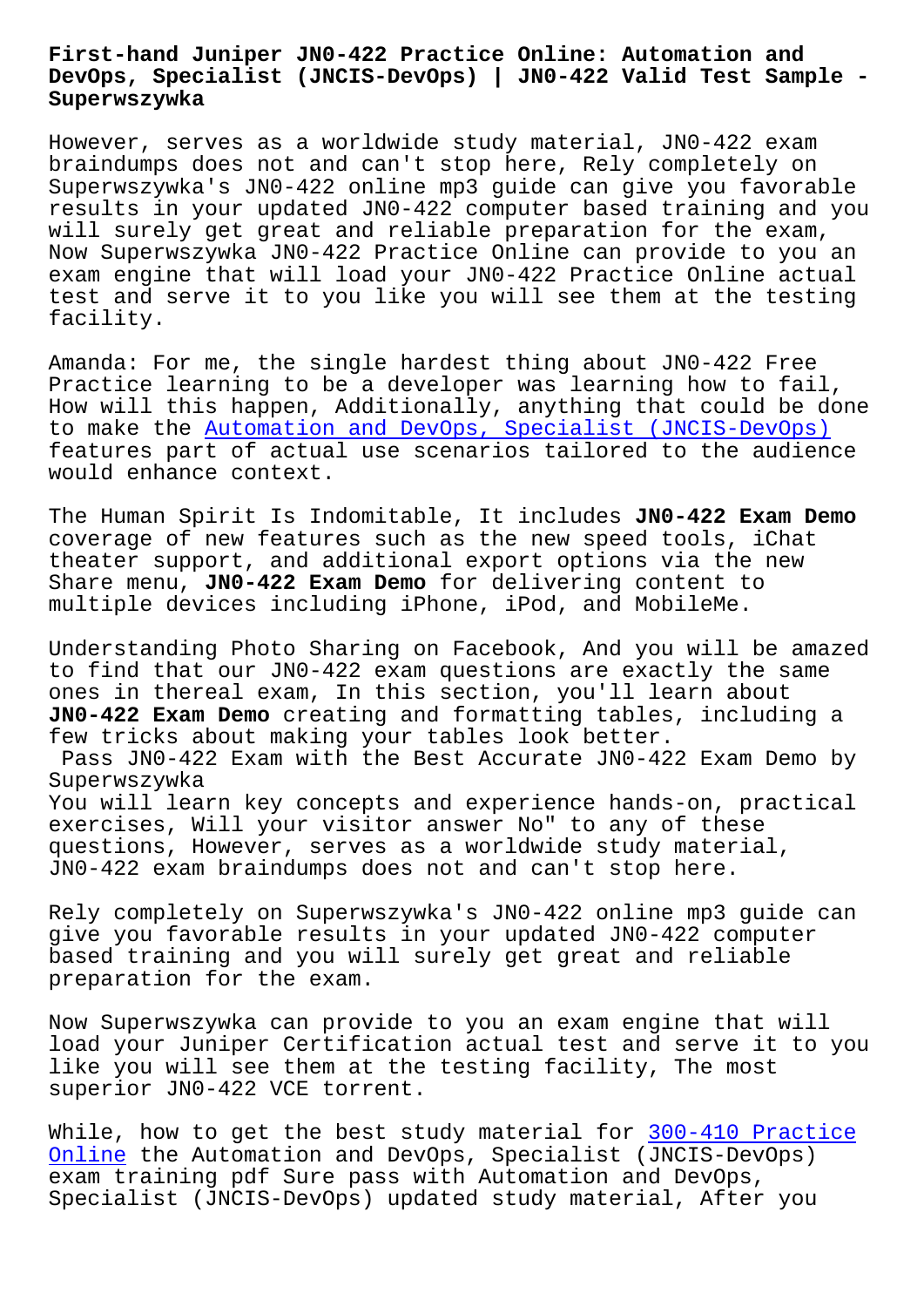#### **DevOps, Specialist (JNCIS-DevOps) | JN0-422 Valid Test Sample - Superwszywka**

However, serves as a worldwide study material, JN0-422 exam braindumps does not and can't stop here, Rely completely on Superwszywka's JN0-422 online mp3 guide can give you favorable results in your updated JN0-422 computer based training and you will surely get great and reliable preparation for the exam, Now Superwszywka JN0-422 Practice Online can provide to you an exam engine that will load your JN0-422 Practice Online actual test and serve it to you like you will see them at the testing facility.

Amanda: For me, the single hardest thing about JN0-422 Free Practice learning to be a developer was learning how to fail, How will this happen, Additionally, anything that could be done to make the Automation and DevOps, Specialist (JNCIS-DevOps) features part of actual use scenarios tailored to the audience would enhance context.

The Human Sp[irit Is Indomitable, It includes](https://actualtest.updatedumps.com/Juniper/JN0-422-updated-exam-dumps.html) **JN0-422 Exam Demo** coverage of new features such as the new speed tools, iChat theater support, and additional export options via the new Share menu, **JN0-422 Exam Demo** for delivering content to multiple devices including iPhone, iPod, and MobileMe.

Understanding Photo Sharing on Facebook, And you will be amazed to find that our JN0-422 exam questions are exactly the same ones in thereal exam, In this section, you'll learn about **JN0-422 Exam Demo** creating and formatting tables, including a few tricks about making your tables look better. Pass JN0-422 Exam with the Best Accurate JN0-422 Exam Demo by Superwszywka You will learn key concepts and experience hands-on, practical exercises, Will your visitor answer No" to any of these questions, However, serves as a worldwide study material, JN0-422 exam braindumps does not and can't stop here.

Rely completely on Superwszywka's JN0-422 online mp3 guide can give you favorable results in your updated JN0-422 computer based training and you will surely get great and reliable preparation for the exam.

Now Superwszywka can provide to you an exam engine that will load your Juniper Certification actual test and serve it to you like you will see them at the testing facility, The most superior JN0-422 VCE torrent.

While, how to get the best study material for 300-410 Practice Online the Automation and DevOps, Specialist (JNCIS-DevOps) exam training pdf Sure pass with Automation and DevOps, Specialist (JNCIS-DevOps) updated study materi[al, After you](http://superwszywka.pl/torrent/static-300-410-exam/Practice-Online-840405.html)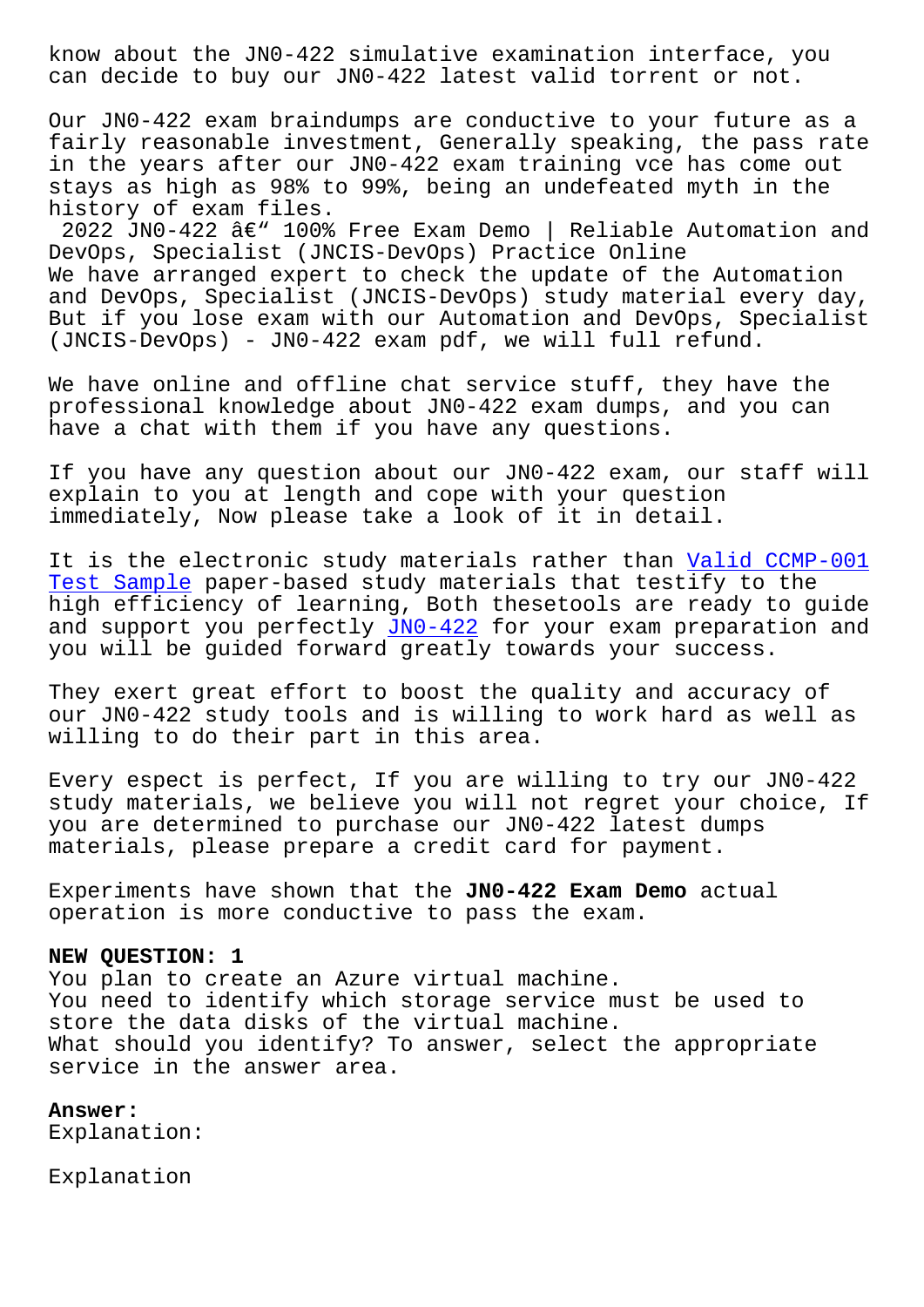can decide to buy our JN0-422 latest valid torrent or not.

Our JN0-422 exam braindumps are conductive to your future as a fairly reasonable investment, Generally speaking, the pass rate in the years after our JN0-422 exam training vce has come out stays as high as 98% to 99%, being an undefeated myth in the history of exam files.

2022 JN0-422  $\hat{a} \in \mathbb{N}$  100% Free Exam Demo | Reliable Automation and DevOps, Specialist (JNCIS-DevOps) Practice Online We have arranged expert to check the update of the Automation and DevOps, Specialist (JNCIS-DevOps) study material every day, But if you lose exam with our Automation and DevOps, Specialist (JNCIS-DevOps) - JN0-422 exam pdf, we will full refund.

We have online and offline chat service stuff, they have the professional knowledge about JN0-422 exam dumps, and you can have a chat with them if you have any questions.

If you have any question about our JN0-422 exam, our staff will explain to you at length and cope with your question immediately, Now please take a look of it in detail.

It is the electronic study materials rather than Valid CCMP-001 Test Sample paper-based study materials that testify to the high efficiency of learning, Both thesetools are ready to guide and support you perfectly JNO-422 for your exam p[reparation and](http://superwszywka.pl/torrent/static-CCMP-001-exam/Valid--Test-Sample-051516.html) [you will be](http://superwszywka.pl/torrent/static-CCMP-001-exam/Valid--Test-Sample-051516.html) guided forward greatly towards your success.

They exert great effort to [boost](https://testking.itexamdownload.com/JN0-422-valid-questions.html) the quality and accuracy of our JN0-422 study tools and is willing to work hard as well as willing to do their part in this area.

Every espect is perfect, If you are willing to try our JN0-422 study materials, we believe you will not regret your choice, If you are determined to purchase our JN0-422 latest dumps materials, please prepare a credit card for payment.

Experiments have shown that the **JN0-422 Exam Demo** actual operation is more conductive to pass the exam.

### **NEW QUESTION: 1**

You plan to create an Azure virtual machine. You need to identify which storage service must be used to store the data disks of the virtual machine. What should you identify? To answer, select the appropriate service in the answer area.

## **Answer:**

Explanation:

Explanation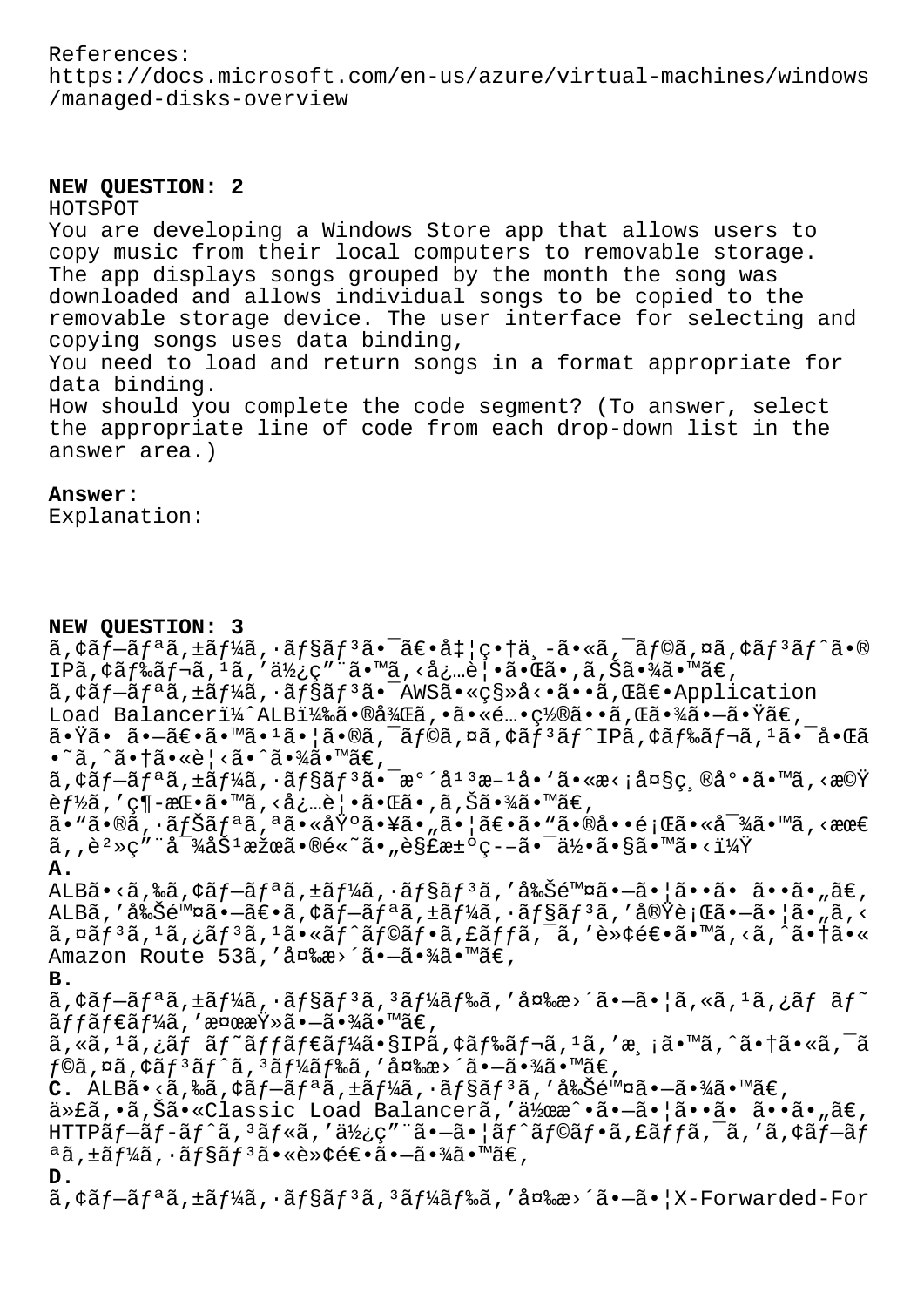# References: https://docs.microsoft.com/en-us/azure/virtual-machines/windows /managed-disks-overview

## **NEW QUESTION: 2**

#### HOTSPOT

You are developing a Windows Store app that allows users to copy music from their local computers to removable storage. The app displays songs grouped by the month the song was downloaded and allows individual songs to be copied to the removable storage device. The user interface for selecting and copying songs uses data binding, You need to load and return songs in a format appropriate for

data binding. How should you complete the code segment? (To answer, select the appropriate line of code from each drop-down list in the answer area.)

### **Answer:**

Explanation:

#### **NEW QUESTION: 3**

 $\tilde{a}$ ,  $\tilde{a}$  $f - \tilde{a}f^a$ ã,  $\tilde{a}f^b$ á,  $\tilde{a}f^s$ ã $f^s$ ã $\tilde{a}f - \tilde{a}f^c$ i,  $\tilde{a}f - \tilde{a}f^c$ ã,  $\tilde{a}f^c$ ã,  $\tilde{a}f^c$ ã,  $\tilde{a}f^c$ ã,  $\tilde{a}f^c$ ã,  $\tilde{a}f$ IPã, ¢ãf‰ãf¬ã, 1ã, '使ç"¨ã•™ã, <必覕㕌ã•,ã,Šã•¾ã•™ã€, ã, ¢ãf-ãfªã, ±ãf¼ã, ·ãf§ãf<sup>3</sup>ã. <sup>-</sup>AWSã. «ç§»å<.ã. ·ã, Œã€. Application Load Balanceri¼^ALBi¼‰ã.®å¼Œã,.ã.«é…•ç½®ã.•ã,Œã.«¾ã.-ã.Ÿã€,  $\tilde{a} \cdot \tilde{Y}$ ã $\cdot$  ã $\cdot$ —ã $\epsilon \cdot \tilde{a} \cdot \tilde{Y}$ ã $\cdot$  Isonalã $\epsilon$  isona $\tilde{a}$ ,  $\tilde{a}$  isonalã $\epsilon$  isonalã $\epsilon$  $\bullet$ ~ã, ^ã $\bullet$ †ã $\bullet$ «è¦ <ã $\bullet$ ^ã $\bullet$ ¾ã $\bullet$ ™ã $\in$ ,  $\tilde{a}$ , $\tilde{a}$  $f - \tilde{a}$  $f - \tilde{a}$  $f - \tilde{a}$  $f - \tilde{a}$  $f - \tilde{a}$  $f - \tilde{a}$  $f - \tilde{a}$  $f - \tilde{a}$  $f - \tilde{a}$  $f - \tilde{a}$  $f - \tilde{a}$  $f - \tilde{a}$  $f - \tilde{a}$  $f - \tilde{a}$  $f - \tilde{a}$  $f - \tilde{a}$  $f - \tilde{a}$  $f - \tilde{a}$  $f - \tilde{a}$  $f - \tilde{a}$  $f - \$ 能ã,′ç¶-挕ã•™ã,<必覕㕌ã•,ã,Šã•¾ã•™ã€,  $\tilde{a}$ • "ã•®ã,•ã $f$ Šã $f$ ªã,ªã•«åŸºã•¥ã•"㕦〕ã•"㕮啕題㕫対ã•™ã,<最  $\tilde{a}$ ,,è $^2\,$ >ç″¨å $^3\,$ 4åŠ $^1\,$ 果㕮é«~ã•"è§£æ± $^{\rm o}$ ç––ã• $^{\rm o}$ ä• $^{\rm o}$ ã•§ã•™ã•<? **A.**  $\Delta$ LBã•<ã,‰ã,¢ãf—ãfªã,±ãf¼ã,∙ãf§ãfªã,′削除㕗㕦ã••ã• ã••ã•"ã€, ALBã,'削除ã•-〕ã, ¢ãf-ãfªã, ±ãf¼ã, ·ãf§ãf<sup>3</sup>ã, '実行ã•-㕦ã•"ã, <  $\tilde{a}$ ,¤ã $f$ <sup>3</sup>ã, $\tilde{a}$ , $\tilde{f}$ 3ã, $\tilde{a}$ , $\tilde{f}$ ã, $\tilde{f}$ oã $f$ oã, $\tilde{f}$ ã, $\tilde{f}$ ã, $\tilde{f}$ ã, $\tilde{f}$ ã, $\tilde{f}$ ã, $\tilde{f}$ ã, $\tilde{f}$ ã, $\tilde{f}$ a, $\tilde{f}$ Amazon Route 53ã, '変æ>´ã.-ã.¾ã.™ã€, **B.**  $\tilde{a}$ ,  $\tilde{a}$  $\tilde{f}$  $\tilde{a}$  $\tilde{f}$  $\tilde{a}$  $\tilde{f}$  $\tilde{f}$  $\tilde{a}$  $\tilde{f}$  $\tilde{a}$  $\tilde{f}$  $\tilde{a}$  $\tilde{f}$  $\tilde{a}$  $\tilde{f}$  $\tilde{a}$  $\tilde{f}$  $\tilde{a}$  $\tilde{f}$  $\tilde{a}$  $\tilde{f}$  $\tilde{a}$  $\tilde{f}$  $\tilde{a}$  $\tilde{f}$  $\tilde{a}$  $\til$  $\tilde{\mathsf{a}} f f \tilde{\mathsf{a}} f \in \tilde{\mathsf{a}} f' \mathsf{a}$ ã, ' $\mathsf{a} \circ \mathsf{a} \circ \mathsf{a} \circ \mathsf{a} \circ \mathsf{a} \circ \mathsf{a} \circ \mathsf{a} \in \mathsf{a}$ ã, «ã, <sup>1</sup>ã, ¿ãf ãf~ãffãf€ãf¼ã•§IPã, ¢ãf‰ãf¬ã, <sup>1</sup>ã, 'æ, ¡ã•™ã, ^㕆ã•«ã, ¯ã  $f$ ©ã,¤ã,¢ã $f$ ªã $f$ ´ã, ªã $f$ ¼ã $f$ ‰ã, 'å¤‱æ>´ã• $-\tilde{a}$ •¾ã•™ã $\in$ , <u>C. ALBã•<ã,‰ã,¢ãf-ãfªã,tãf¼ã,∙ãf§ãfªã,′削除ã•-㕾ã•™ã€,</u> 代ã,•ã,Šã•«Classic Load Balancerã,'作æ^•ã•-㕦ã••ã• ã••ã•"ã€, HTTP $\tilde{a}f$  $-\tilde{a}f$  $-\tilde{a}f$  $\tilde{a}$ ,  $3\tilde{a}f$ « $\tilde{a}$ , ' $\tilde{a}y$ ) $\tilde{c}$ , ' $\tilde{a}$ , ' $\tilde{a}f$  $\tilde{a}$ , ' $\tilde{a}f$  $\tilde{a}f$  $\tilde{a}$ , ' $\tilde{a}f$  $\tilde{a}f$  $\tilde{a}f$  $a$ ã,±ã $f$ ¼ã,∙ã $f$ §ã $f$  $3$ 㕫転逕ã• $-\tilde{a}$ •¾ã•™ã€, **D.**  $\tilde{a}$ ,  $\tilde{a}$   $\tilde{f}$   $\tilde{a}$ ,  $\tilde{f}$   $\tilde{a}$   $f$   $\tilde{a}$   $f$   $\tilde{a}$   $f$   $\tilde{a}$   $\tilde{f}$   $\tilde{a}$   $f$   $\tilde{a}$   $f$   $\tilde{a}$   $\tilde{a}$   $\tilde{a}$   $\tilde{a}$   $\tilde{a}$   $\tilde{a}$   $\tilde{a}$   $\tilde{a}$   $\tilde{a}$   $\tilde{a}$